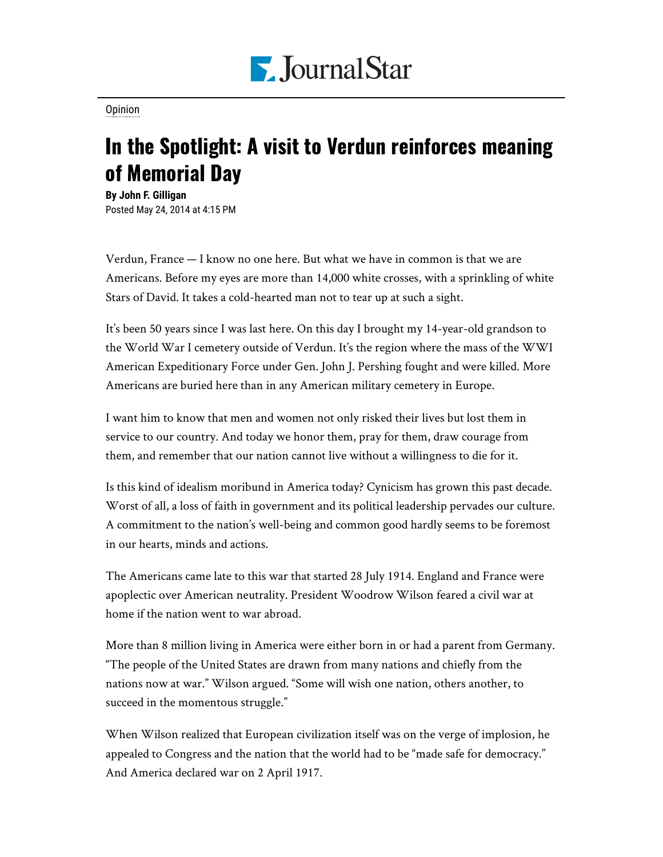

[Opinion](https://www.pjstar.com/search?text=Opinion)

## In the Spotlight: A visit to Verdun reinforces meaning of Memorial Day

**By John F. Gilligan** Posted May 24, 2014 at 4:15 PM

Verdun, France — I know no one here. But what we have in common is that we are Americans. Before my eyes are more than 14,000 white crosses, with a sprinkling of white Stars of David. It takes a cold-hearted man not to tear up at such a sight.

It's been 50 years since I was last here. On this day I brought my 14-year-old grandson to the World War I cemetery outside of Verdun. It's the region where the mass of the WWI American Expeditionary Force under Gen. John J. Pershing fought and were killed. More Americans are buried here than in any American military cemetery in Europe.

I want him to know that men and women not only risked their lives but lost them in service to our country. And today we honor them, pray for them, draw courage from them, and remember that our nation cannot live without a willingness to die for it.

Is this kind of idealism moribund in America today? Cynicism has grown this past decade. Worst of all, a loss of faith in government and its political leadership pervades our culture. A commitment to the nation's well-being and common good hardly seems to be foremost in our hearts, minds and actions.

The Americans came late to this war that started 28 July 1914. England and France were apoplectic over American neutrality. President Woodrow Wilson feared a civil war at home if the nation went to war abroad.

More than 8 million living in America were either born in or had a parent from Germany. "The people of the United States are drawn from many nations and chiefly from the nations now at war." Wilson argued. "Some will wish one nation, others another, to succeed in the momentous struggle."

When Wilson realized that European civilization itself was on the verge of implosion, he appealed to Congress and the nation that the world had to be "made safe for democracy." And America declared war on 2 April 1917.